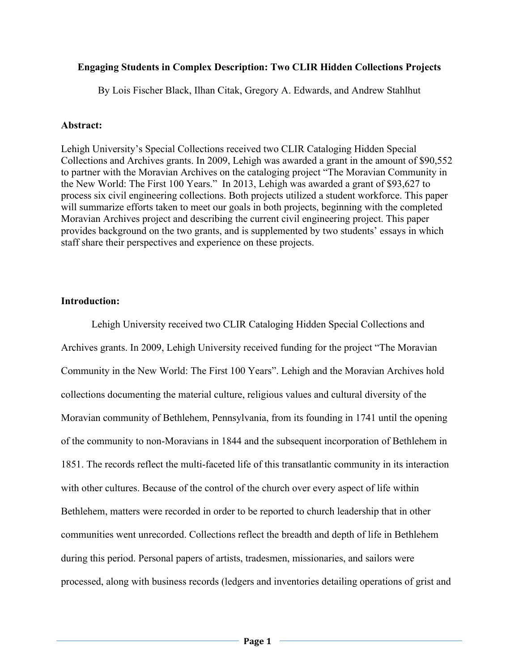# **Engaging Students in Complex Description: Two CLIR Hidden Collections Projects**

By Lois Fischer Black, Ilhan Citak, Gregory A. Edwards, and Andrew Stahlhut

# **Abstract:**

Lehigh University's Special Collections received two CLIR Cataloging Hidden Special Collections and Archives grants. In 2009, Lehigh was awarded a grant in the amount of \$90,552 to partner with the Moravian Archives on the cataloging project "The Moravian Community in the New World: The First 100 Years." In 2013, Lehigh was awarded a grant of \$93,627 to process six civil engineering collections. Both projects utilized a student workforce. This paper will summarize efforts taken to meet our goals in both projects, beginning with the completed Moravian Archives project and describing the current civil engineering project. This paper provides background on the two grants, and is supplemented by two students' essays in which staff share their perspectives and experience on these projects.

# **Introduction:**

Lehigh University received two CLIR Cataloging Hidden Special Collections and Archives grants. In 2009, Lehigh University received funding for the project "The Moravian Community in the New World: The First 100 Years". Lehigh and the Moravian Archives hold collections documenting the material culture, religious values and cultural diversity of the Moravian community of Bethlehem, Pennsylvania, from its founding in 1741 until the opening of the community to non-Moravians in 1844 and the subsequent incorporation of Bethlehem in 1851. The records reflect the multi-faceted life of this transatlantic community in its interaction with other cultures. Because of the control of the church over every aspect of life within Bethlehem, matters were recorded in order to be reported to church leadership that in other communities went unrecorded. Collections reflect the breadth and depth of life in Bethlehem during this period. Personal papers of artists, tradesmen, missionaries, and sailors were processed, along with business records (ledgers and inventories detailing operations of grist and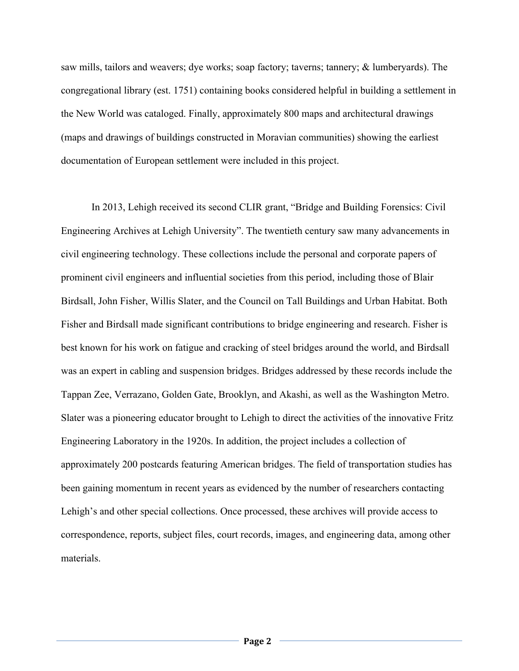saw mills, tailors and weavers; dye works; soap factory; taverns; tannery; & lumberyards). The congregational library (est. 1751) containing books considered helpful in building a settlement in the New World was cataloged. Finally, approximately 800 maps and architectural drawings (maps and drawings of buildings constructed in Moravian communities) showing the earliest documentation of European settlement were included in this project.

In 2013, Lehigh received its second CLIR grant, "Bridge and Building Forensics: Civil Engineering Archives at Lehigh University". The twentieth century saw many advancements in civil engineering technology. These collections include the personal and corporate papers of prominent civil engineers and influential societies from this period, including those of Blair Birdsall, John Fisher, Willis Slater, and the Council on Tall Buildings and Urban Habitat. Both Fisher and Birdsall made significant contributions to bridge engineering and research. Fisher is best known for his work on fatigue and cracking of steel bridges around the world, and Birdsall was an expert in cabling and suspension bridges. Bridges addressed by these records include the Tappan Zee, Verrazano, Golden Gate, Brooklyn, and Akashi, as well as the Washington Metro. Slater was a pioneering educator brought to Lehigh to direct the activities of the innovative Fritz Engineering Laboratory in the 1920s. In addition, the project includes a collection of approximately 200 postcards featuring American bridges. The field of transportation studies has been gaining momentum in recent years as evidenced by the number of researchers contacting Lehigh's and other special collections. Once processed, these archives will provide access to correspondence, reports, subject files, court records, images, and engineering data, among other materials.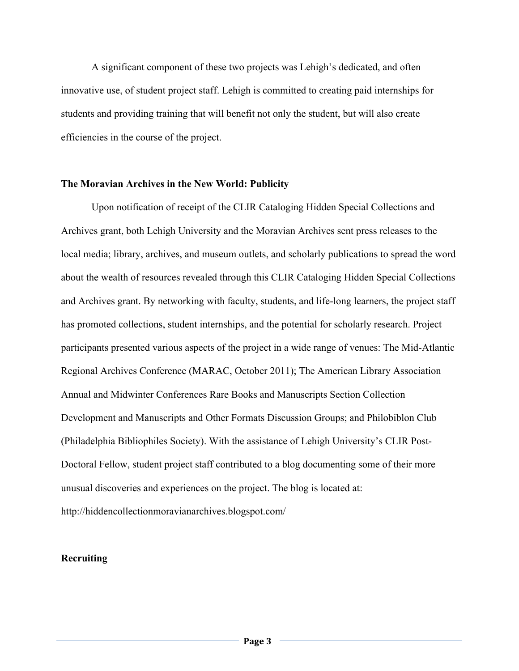A significant component of these two projects was Lehigh's dedicated, and often innovative use, of student project staff. Lehigh is committed to creating paid internships for students and providing training that will benefit not only the student, but will also create efficiencies in the course of the project.

#### **The Moravian Archives in the New World: Publicity**

Upon notification of receipt of the CLIR Cataloging Hidden Special Collections and Archives grant, both Lehigh University and the Moravian Archives sent press releases to the local media; library, archives, and museum outlets, and scholarly publications to spread the word about the wealth of resources revealed through this CLIR Cataloging Hidden Special Collections and Archives grant. By networking with faculty, students, and life-long learners, the project staff has promoted collections, student internships, and the potential for scholarly research. Project participants presented various aspects of the project in a wide range of venues: The Mid-Atlantic Regional Archives Conference (MARAC, October 2011); The American Library Association Annual and Midwinter Conferences Rare Books and Manuscripts Section Collection Development and Manuscripts and Other Formats Discussion Groups; and Philobiblon Club (Philadelphia Bibliophiles Society). With the assistance of Lehigh University's CLIR Post-Doctoral Fellow, student project staff contributed to a blog documenting some of their more unusual discoveries and experiences on the project. The blog is located at: http://hiddencollectionmoravianarchives.blogspot.com/

## **Recruiting**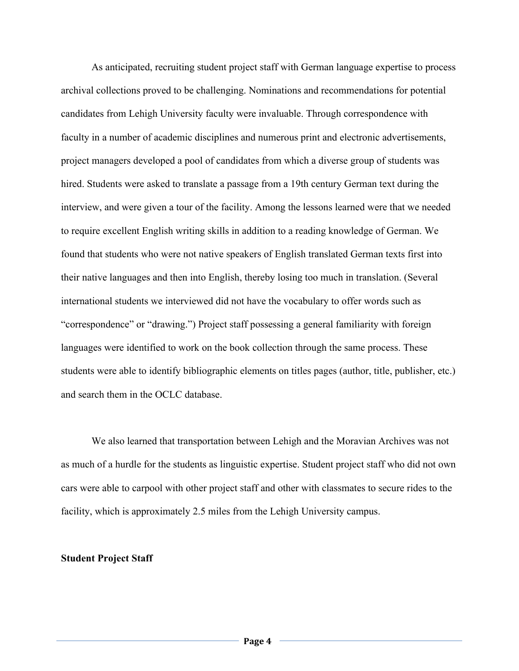As anticipated, recruiting student project staff with German language expertise to process archival collections proved to be challenging. Nominations and recommendations for potential candidates from Lehigh University faculty were invaluable. Through correspondence with faculty in a number of academic disciplines and numerous print and electronic advertisements, project managers developed a pool of candidates from which a diverse group of students was hired. Students were asked to translate a passage from a 19th century German text during the interview, and were given a tour of the facility. Among the lessons learned were that we needed to require excellent English writing skills in addition to a reading knowledge of German. We found that students who were not native speakers of English translated German texts first into their native languages and then into English, thereby losing too much in translation. (Several international students we interviewed did not have the vocabulary to offer words such as "correspondence" or "drawing.") Project staff possessing a general familiarity with foreign languages were identified to work on the book collection through the same process. These students were able to identify bibliographic elements on titles pages (author, title, publisher, etc.) and search them in the OCLC database.

We also learned that transportation between Lehigh and the Moravian Archives was not as much of a hurdle for the students as linguistic expertise. Student project staff who did not own cars were able to carpool with other project staff and other with classmates to secure rides to the facility, which is approximately 2.5 miles from the Lehigh University campus.

## **Student Project Staff**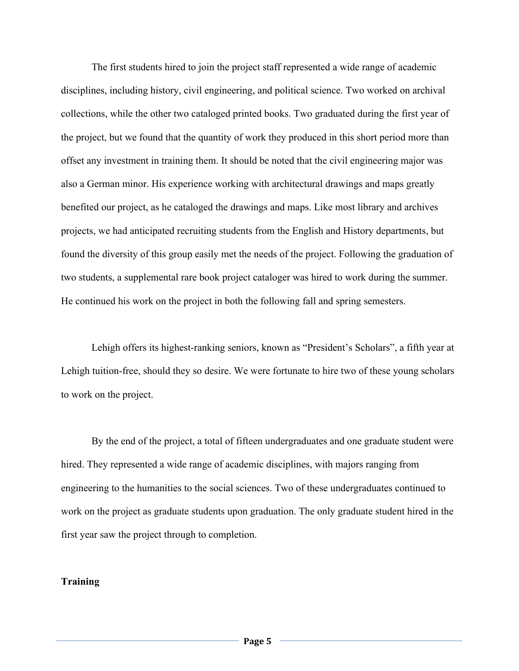The first students hired to join the project staff represented a wide range of academic disciplines, including history, civil engineering, and political science. Two worked on archival collections, while the other two cataloged printed books. Two graduated during the first year of the project, but we found that the quantity of work they produced in this short period more than offset any investment in training them. It should be noted that the civil engineering major was also a German minor. His experience working with architectural drawings and maps greatly benefited our project, as he cataloged the drawings and maps. Like most library and archives projects, we had anticipated recruiting students from the English and History departments, but found the diversity of this group easily met the needs of the project. Following the graduation of two students, a supplemental rare book project cataloger was hired to work during the summer. He continued his work on the project in both the following fall and spring semesters.

Lehigh offers its highest-ranking seniors, known as "President's Scholars", a fifth year at Lehigh tuition-free, should they so desire. We were fortunate to hire two of these young scholars to work on the project.

By the end of the project, a total of fifteen undergraduates and one graduate student were hired. They represented a wide range of academic disciplines, with majors ranging from engineering to the humanities to the social sciences. Two of these undergraduates continued to work on the project as graduate students upon graduation. The only graduate student hired in the first year saw the project through to completion.

# **Training**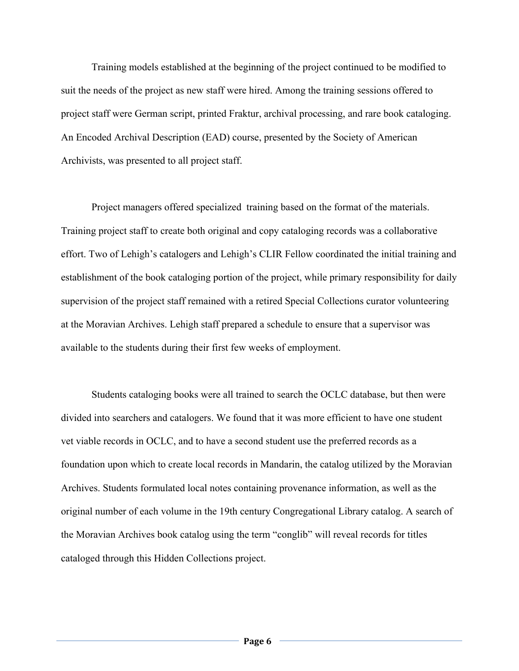Training models established at the beginning of the project continued to be modified to suit the needs of the project as new staff were hired. Among the training sessions offered to project staff were German script, printed Fraktur, archival processing, and rare book cataloging. An Encoded Archival Description (EAD) course, presented by the Society of American Archivists, was presented to all project staff.

Project managers offered specialized training based on the format of the materials. Training project staff to create both original and copy cataloging records was a collaborative effort. Two of Lehigh's catalogers and Lehigh's CLIR Fellow coordinated the initial training and establishment of the book cataloging portion of the project, while primary responsibility for daily supervision of the project staff remained with a retired Special Collections curator volunteering at the Moravian Archives. Lehigh staff prepared a schedule to ensure that a supervisor was available to the students during their first few weeks of employment.

Students cataloging books were all trained to search the OCLC database, but then were divided into searchers and catalogers. We found that it was more efficient to have one student vet viable records in OCLC, and to have a second student use the preferred records as a foundation upon which to create local records in Mandarin, the catalog utilized by the Moravian Archives. Students formulated local notes containing provenance information, as well as the original number of each volume in the 19th century Congregational Library catalog. A search of the Moravian Archives book catalog using the term "conglib" will reveal records for titles cataloged through this Hidden Collections project.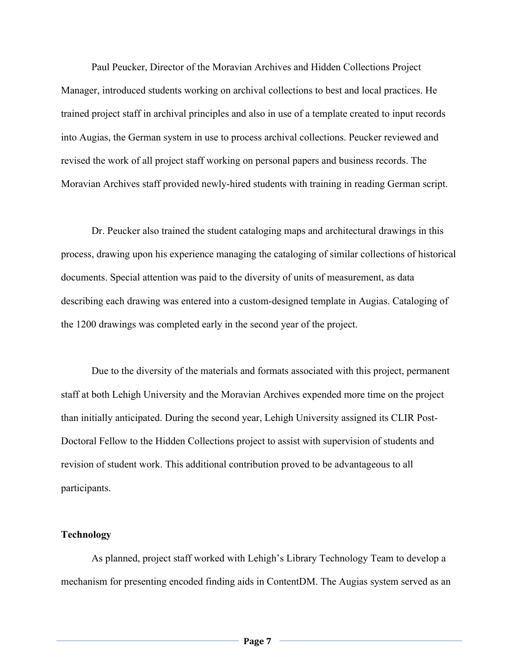Paul Peucker, Director of the Moravian Archives and Hidden Collections Project Manager, introduced students working on archival collections to best and local practices. He trained project staff in archival principles and also in use of a template created to input records into Augias, the German system in use to process archival collections. Peucker reviewed and revised the work of all project staff working on personal papers and business records. The Moravian Archives staff provided newly-hired students with training in reading German script.

Dr. Peucker also trained the student cataloging maps and architectural drawings in this process, drawing upon his experience managing the cataloging of similar collections of historical documents. Special attention was paid to the diversity of units of measurement, as data describing each drawing was entered into a custom-designed template in Augias. Cataloging of the 1200 drawings was completed early in the second year of the project.

Due to the diversity of the materials and formats associated with this project, permanent staff at both Lehigh University and the Moravian Archives expended more time on the project than initially anticipated. During the second year, Lehigh University assigned its CLIR Post-Doctoral Fellow to the Hidden Collections project to assist with supervision of students and revision of student work. This additional contribution proved to be advantageous to all participants.

# **Technology**

As planned, project staff worked with Lehigh's Library Technology Team to develop a mechanism for presenting encoded finding aids in ContentDM. The Augias system served as an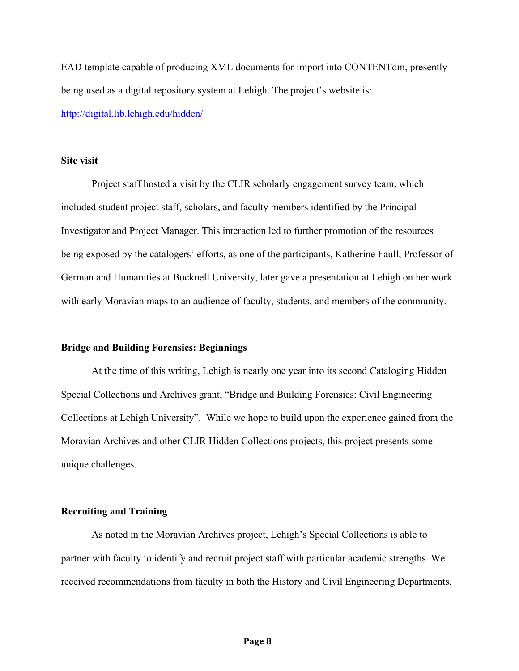EAD template capable of producing XML documents for import into CONTENTdm, presently being used as a digital repository system at Lehigh. The project's website is: http://digital.lib.lehigh.edu/hidden/

## **Site visit**

Project staff hosted a visit by the CLIR scholarly engagement survey team, which included student project staff, scholars, and faculty members identified by the Principal Investigator and Project Manager. This interaction led to further promotion of the resources being exposed by the catalogers' efforts, as one of the participants, Katherine Faull, Professor of German and Humanities at Bucknell University, later gave a presentation at Lehigh on her work with early Moravian maps to an audience of faculty, students, and members of the community.

# **Bridge and Building Forensics: Beginnings**

At the time of this writing, Lehigh is nearly one year into its second Cataloging Hidden Special Collections and Archives grant, "Bridge and Building Forensics: Civil Engineering Collections at Lehigh University". While we hope to build upon the experience gained from the Moravian Archives and other CLIR Hidden Collections projects, this project presents some unique challenges.

# **Recruiting and Training**

As noted in the Moravian Archives project, Lehigh's Special Collections is able to partner with faculty to identify and recruit project staff with particular academic strengths. We received recommendations from faculty in both the History and Civil Engineering Departments,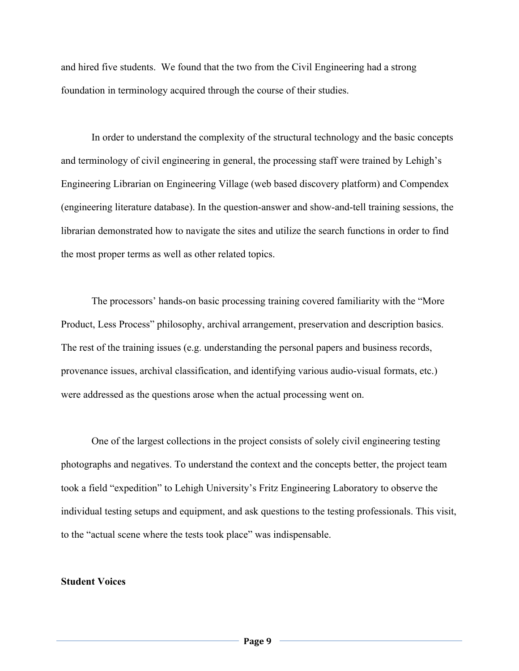and hired five students. We found that the two from the Civil Engineering had a strong foundation in terminology acquired through the course of their studies.

In order to understand the complexity of the structural technology and the basic concepts and terminology of civil engineering in general, the processing staff were trained by Lehigh's Engineering Librarian on Engineering Village (web based discovery platform) and Compendex (engineering literature database). In the question-answer and show-and-tell training sessions, the librarian demonstrated how to navigate the sites and utilize the search functions in order to find the most proper terms as well as other related topics.

The processors' hands-on basic processing training covered familiarity with the "More Product, Less Process" philosophy, archival arrangement, preservation and description basics. The rest of the training issues (e.g. understanding the personal papers and business records, provenance issues, archival classification, and identifying various audio-visual formats, etc.) were addressed as the questions arose when the actual processing went on.

One of the largest collections in the project consists of solely civil engineering testing photographs and negatives. To understand the context and the concepts better, the project team took a field "expedition" to Lehigh University's Fritz Engineering Laboratory to observe the individual testing setups and equipment, and ask questions to the testing professionals. This visit, to the "actual scene where the tests took place" was indispensable.

### **Student Voices**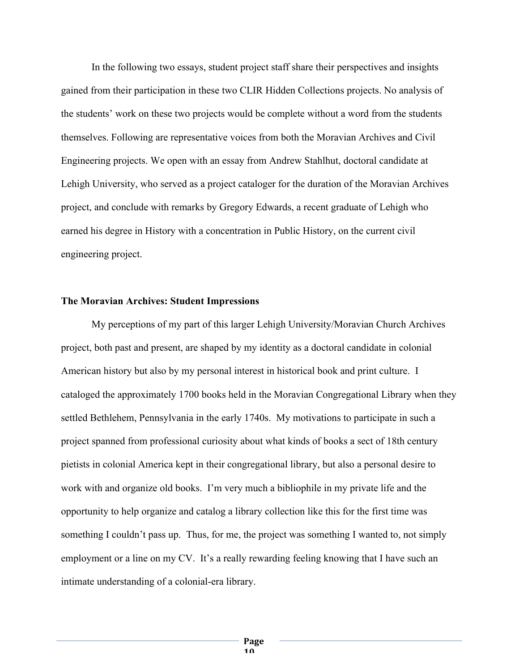In the following two essays, student project staff share their perspectives and insights gained from their participation in these two CLIR Hidden Collections projects. No analysis of the students' work on these two projects would be complete without a word from the students themselves. Following are representative voices from both the Moravian Archives and Civil Engineering projects. We open with an essay from Andrew Stahlhut, doctoral candidate at Lehigh University, who served as a project cataloger for the duration of the Moravian Archives project, and conclude with remarks by Gregory Edwards, a recent graduate of Lehigh who earned his degree in History with a concentration in Public History, on the current civil engineering project.

#### **The Moravian Archives: Student Impressions**

My perceptions of my part of this larger Lehigh University/Moravian Church Archives project, both past and present, are shaped by my identity as a doctoral candidate in colonial American history but also by my personal interest in historical book and print culture. I cataloged the approximately 1700 books held in the Moravian Congregational Library when they settled Bethlehem, Pennsylvania in the early 1740s. My motivations to participate in such a project spanned from professional curiosity about what kinds of books a sect of 18th century pietists in colonial America kept in their congregational library, but also a personal desire to work with and organize old books. I'm very much a bibliophile in my private life and the opportunity to help organize and catalog a library collection like this for the first time was something I couldn't pass up. Thus, for me, the project was something I wanted to, not simply employment or a line on my CV. It's a really rewarding feeling knowing that I have such an intimate understanding of a colonial-era library.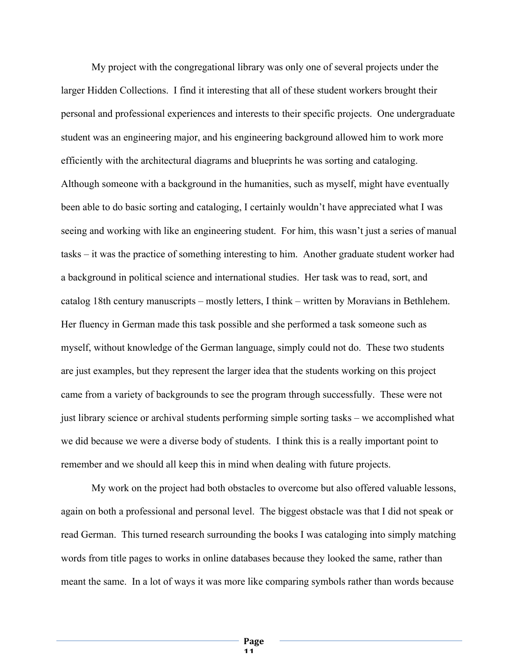My project with the congregational library was only one of several projects under the larger Hidden Collections. I find it interesting that all of these student workers brought their personal and professional experiences and interests to their specific projects. One undergraduate student was an engineering major, and his engineering background allowed him to work more efficiently with the architectural diagrams and blueprints he was sorting and cataloging. Although someone with a background in the humanities, such as myself, might have eventually been able to do basic sorting and cataloging, I certainly wouldn't have appreciated what I was seeing and working with like an engineering student. For him, this wasn't just a series of manual tasks – it was the practice of something interesting to him. Another graduate student worker had a background in political science and international studies. Her task was to read, sort, and catalog 18th century manuscripts – mostly letters, I think – written by Moravians in Bethlehem. Her fluency in German made this task possible and she performed a task someone such as myself, without knowledge of the German language, simply could not do. These two students are just examples, but they represent the larger idea that the students working on this project came from a variety of backgrounds to see the program through successfully. These were not just library science or archival students performing simple sorting tasks – we accomplished what we did because we were a diverse body of students. I think this is a really important point to remember and we should all keep this in mind when dealing with future projects.

My work on the project had both obstacles to overcome but also offered valuable lessons, again on both a professional and personal level. The biggest obstacle was that I did not speak or read German. This turned research surrounding the books I was cataloging into simply matching words from title pages to works in online databases because they looked the same, rather than meant the same. In a lot of ways it was more like comparing symbols rather than words because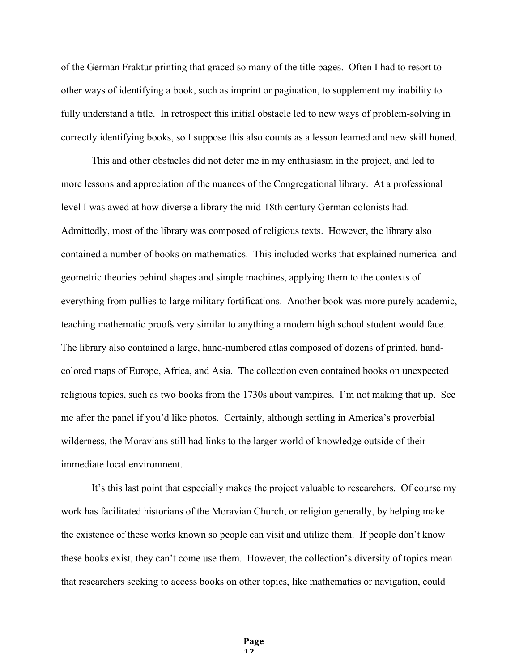of the German Fraktur printing that graced so many of the title pages. Often I had to resort to other ways of identifying a book, such as imprint or pagination, to supplement my inability to fully understand a title. In retrospect this initial obstacle led to new ways of problem-solving in correctly identifying books, so I suppose this also counts as a lesson learned and new skill honed.

This and other obstacles did not deter me in my enthusiasm in the project, and led to more lessons and appreciation of the nuances of the Congregational library. At a professional level I was awed at how diverse a library the mid-18th century German colonists had. Admittedly, most of the library was composed of religious texts. However, the library also contained a number of books on mathematics. This included works that explained numerical and geometric theories behind shapes and simple machines, applying them to the contexts of everything from pullies to large military fortifications. Another book was more purely academic, teaching mathematic proofs very similar to anything a modern high school student would face. The library also contained a large, hand-numbered atlas composed of dozens of printed, handcolored maps of Europe, Africa, and Asia. The collection even contained books on unexpected religious topics, such as two books from the 1730s about vampires. I'm not making that up. See me after the panel if you'd like photos. Certainly, although settling in America's proverbial wilderness, the Moravians still had links to the larger world of knowledge outside of their immediate local environment.

It's this last point that especially makes the project valuable to researchers. Of course my work has facilitated historians of the Moravian Church, or religion generally, by helping make the existence of these works known so people can visit and utilize them. If people don't know these books exist, they can't come use them. However, the collection's diversity of topics mean that researchers seeking to access books on other topics, like mathematics or navigation, could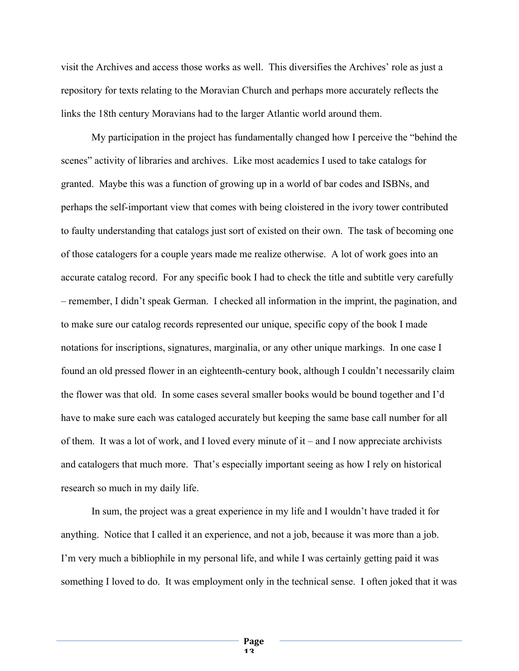visit the Archives and access those works as well. This diversifies the Archives' role as just a repository for texts relating to the Moravian Church and perhaps more accurately reflects the links the 18th century Moravians had to the larger Atlantic world around them.

My participation in the project has fundamentally changed how I perceive the "behind the scenes" activity of libraries and archives. Like most academics I used to take catalogs for granted. Maybe this was a function of growing up in a world of bar codes and ISBNs, and perhaps the self-important view that comes with being cloistered in the ivory tower contributed to faulty understanding that catalogs just sort of existed on their own. The task of becoming one of those catalogers for a couple years made me realize otherwise. A lot of work goes into an accurate catalog record. For any specific book I had to check the title and subtitle very carefully – remember, I didn't speak German. I checked all information in the imprint, the pagination, and to make sure our catalog records represented our unique, specific copy of the book I made notations for inscriptions, signatures, marginalia, or any other unique markings. In one case I found an old pressed flower in an eighteenth-century book, although I couldn't necessarily claim the flower was that old. In some cases several smaller books would be bound together and I'd have to make sure each was cataloged accurately but keeping the same base call number for all of them. It was a lot of work, and I loved every minute of it – and I now appreciate archivists and catalogers that much more. That's especially important seeing as how I rely on historical research so much in my daily life.

In sum, the project was a great experience in my life and I wouldn't have traded it for anything. Notice that I called it an experience, and not a job, because it was more than a job. I'm very much a bibliophile in my personal life, and while I was certainly getting paid it was something I loved to do. It was employment only in the technical sense. I often joked that it was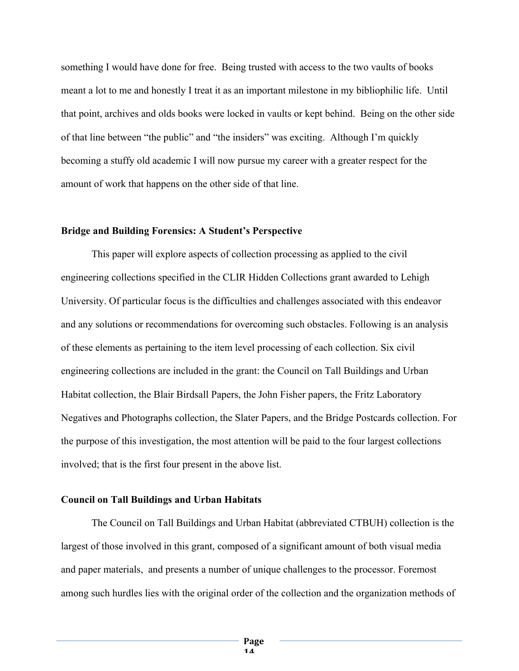something I would have done for free. Being trusted with access to the two vaults of books meant a lot to me and honestly I treat it as an important milestone in my bibliophilic life. Until that point, archives and olds books were locked in vaults or kept behind. Being on the other side of that line between "the public" and "the insiders" was exciting. Although I'm quickly becoming a stuffy old academic I will now pursue my career with a greater respect for the amount of work that happens on the other side of that line.

## **Bridge and Building Forensics: A Student's Perspective**

This paper will explore aspects of collection processing as applied to the civil engineering collections specified in the CLIR Hidden Collections grant awarded to Lehigh University. Of particular focus is the difficulties and challenges associated with this endeavor and any solutions or recommendations for overcoming such obstacles. Following is an analysis of these elements as pertaining to the item level processing of each collection. Six civil engineering collections are included in the grant: the Council on Tall Buildings and Urban Habitat collection, the Blair Birdsall Papers, the John Fisher papers, the Fritz Laboratory Negatives and Photographs collection, the Slater Papers, and the Bridge Postcards collection. For the purpose of this investigation, the most attention will be paid to the four largest collections involved; that is the first four present in the above list.

# **Council on Tall Buildings and Urban Habitats**

The Council on Tall Buildings and Urban Habitat (abbreviated CTBUH) collection is the largest of those involved in this grant, composed of a significant amount of both visual media and paper materials, and presents a number of unique challenges to the processor. Foremost among such hurdles lies with the original order of the collection and the organization methods of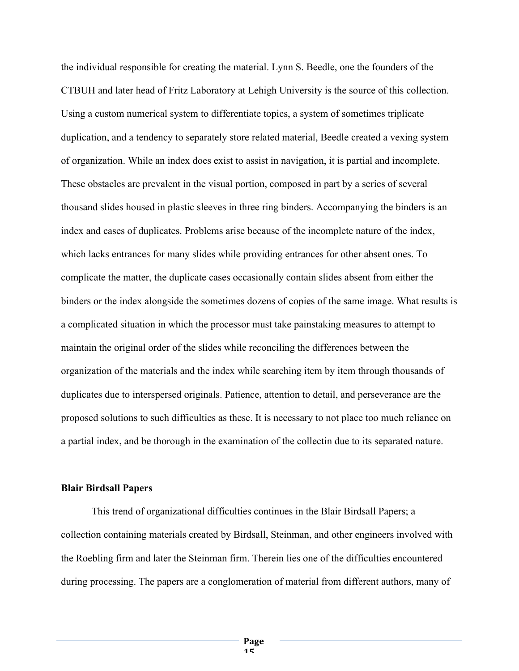the individual responsible for creating the material. Lynn S. Beedle, one the founders of the CTBUH and later head of Fritz Laboratory at Lehigh University is the source of this collection. Using a custom numerical system to differentiate topics, a system of sometimes triplicate duplication, and a tendency to separately store related material, Beedle created a vexing system of organization. While an index does exist to assist in navigation, it is partial and incomplete. These obstacles are prevalent in the visual portion, composed in part by a series of several thousand slides housed in plastic sleeves in three ring binders. Accompanying the binders is an index and cases of duplicates. Problems arise because of the incomplete nature of the index, which lacks entrances for many slides while providing entrances for other absent ones. To complicate the matter, the duplicate cases occasionally contain slides absent from either the binders or the index alongside the sometimes dozens of copies of the same image. What results is a complicated situation in which the processor must take painstaking measures to attempt to maintain the original order of the slides while reconciling the differences between the organization of the materials and the index while searching item by item through thousands of duplicates due to interspersed originals. Patience, attention to detail, and perseverance are the proposed solutions to such difficulties as these. It is necessary to not place too much reliance on a partial index, and be thorough in the examination of the collectin due to its separated nature.

#### **Blair Birdsall Papers**

This trend of organizational difficulties continues in the Blair Birdsall Papers; a collection containing materials created by Birdsall, Steinman, and other engineers involved with the Roebling firm and later the Steinman firm. Therein lies one of the difficulties encountered during processing. The papers are a conglomeration of material from different authors, many of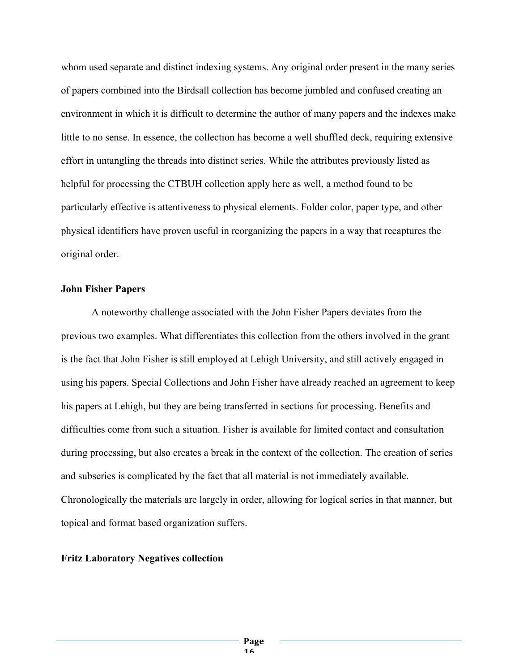whom used separate and distinct indexing systems. Any original order present in the many series of papers combined into the Birdsall collection has become jumbled and confused creating an environment in which it is difficult to determine the author of many papers and the indexes make little to no sense. In essence, the collection has become a well shuffled deck, requiring extensive effort in untangling the threads into distinct series. While the attributes previously listed as helpful for processing the CTBUH collection apply here as well, a method found to be particularly effective is attentiveness to physical elements. Folder color, paper type, and other physical identifiers have proven useful in reorganizing the papers in a way that recaptures the original order.

## **John Fisher Papers**

A noteworthy challenge associated with the John Fisher Papers deviates from the previous two examples. What differentiates this collection from the others involved in the grant is the fact that John Fisher is still employed at Lehigh University, and still actively engaged in using his papers. Special Collections and John Fisher have already reached an agreement to keep his papers at Lehigh, but they are being transferred in sections for processing. Benefits and difficulties come from such a situation. Fisher is available for limited contact and consultation during processing, but also creates a break in the context of the collection. The creation of series and subseries is complicated by the fact that all material is not immediately available. Chronologically the materials are largely in order, allowing for logical series in that manner, but topical and format based organization suffers.

## **Fritz Laboratory Negatives collection**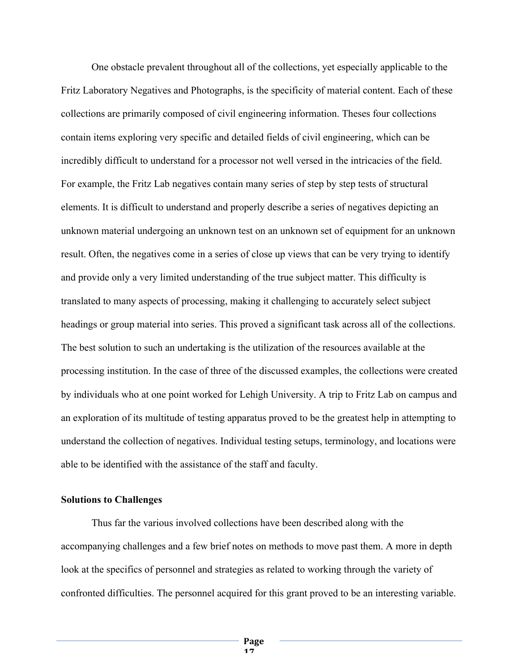One obstacle prevalent throughout all of the collections, yet especially applicable to the Fritz Laboratory Negatives and Photographs, is the specificity of material content. Each of these collections are primarily composed of civil engineering information. Theses four collections contain items exploring very specific and detailed fields of civil engineering, which can be incredibly difficult to understand for a processor not well versed in the intricacies of the field. For example, the Fritz Lab negatives contain many series of step by step tests of structural elements. It is difficult to understand and properly describe a series of negatives depicting an unknown material undergoing an unknown test on an unknown set of equipment for an unknown result. Often, the negatives come in a series of close up views that can be very trying to identify and provide only a very limited understanding of the true subject matter. This difficulty is translated to many aspects of processing, making it challenging to accurately select subject headings or group material into series. This proved a significant task across all of the collections. The best solution to such an undertaking is the utilization of the resources available at the processing institution. In the case of three of the discussed examples, the collections were created by individuals who at one point worked for Lehigh University. A trip to Fritz Lab on campus and an exploration of its multitude of testing apparatus proved to be the greatest help in attempting to understand the collection of negatives. Individual testing setups, terminology, and locations were able to be identified with the assistance of the staff and faculty.

### **Solutions to Challenges**

Thus far the various involved collections have been described along with the accompanying challenges and a few brief notes on methods to move past them. A more in depth look at the specifics of personnel and strategies as related to working through the variety of confronted difficulties. The personnel acquired for this grant proved to be an interesting variable.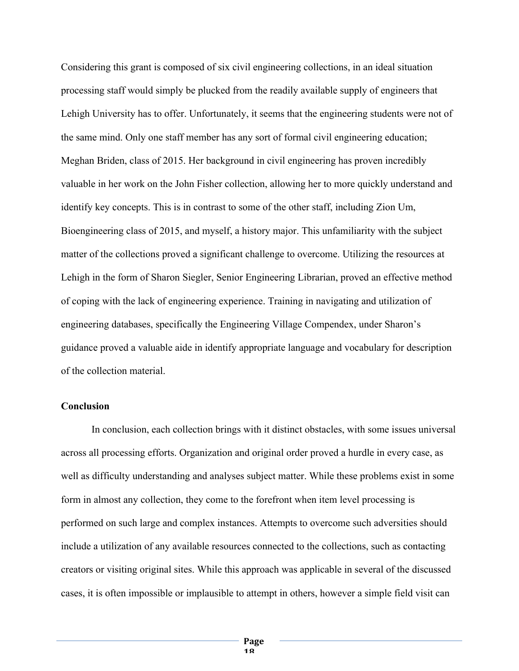Considering this grant is composed of six civil engineering collections, in an ideal situation processing staff would simply be plucked from the readily available supply of engineers that Lehigh University has to offer. Unfortunately, it seems that the engineering students were not of the same mind. Only one staff member has any sort of formal civil engineering education; Meghan Briden, class of 2015. Her background in civil engineering has proven incredibly valuable in her work on the John Fisher collection, allowing her to more quickly understand and identify key concepts. This is in contrast to some of the other staff, including Zion Um, Bioengineering class of 2015, and myself, a history major. This unfamiliarity with the subject matter of the collections proved a significant challenge to overcome. Utilizing the resources at Lehigh in the form of Sharon Siegler, Senior Engineering Librarian, proved an effective method of coping with the lack of engineering experience. Training in navigating and utilization of engineering databases, specifically the Engineering Village Compendex, under Sharon's guidance proved a valuable aide in identify appropriate language and vocabulary for description of the collection material.

# **Conclusion**

In conclusion, each collection brings with it distinct obstacles, with some issues universal across all processing efforts. Organization and original order proved a hurdle in every case, as well as difficulty understanding and analyses subject matter. While these problems exist in some form in almost any collection, they come to the forefront when item level processing is performed on such large and complex instances. Attempts to overcome such adversities should include a utilization of any available resources connected to the collections, such as contacting creators or visiting original sites. While this approach was applicable in several of the discussed cases, it is often impossible or implausible to attempt in others, however a simple field visit can